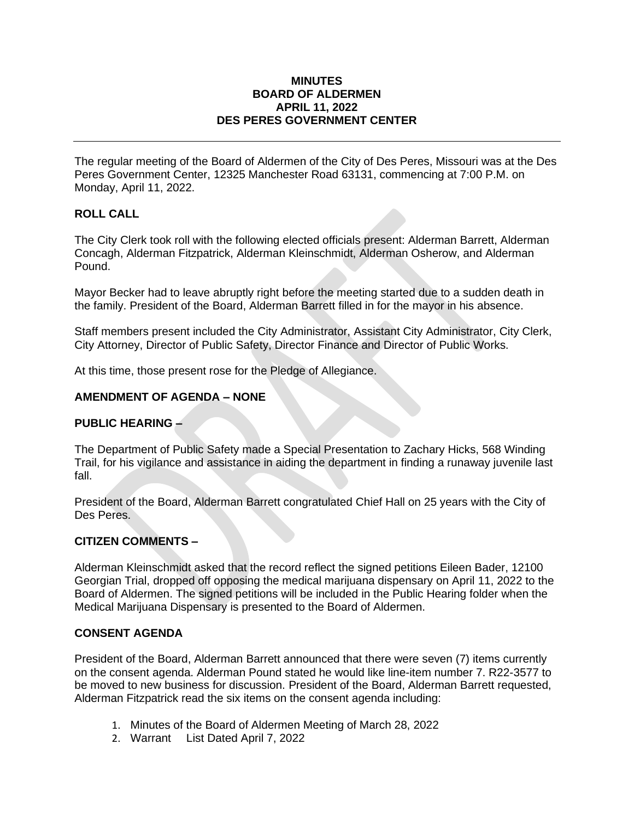### **MINUTES BOARD OF ALDERMEN APRIL 11, 2022 DES PERES GOVERNMENT CENTER**

The regular meeting of the Board of Aldermen of the City of Des Peres, Missouri was at the Des Peres Government Center, 12325 Manchester Road 63131, commencing at 7:00 P.M. on Monday, April 11, 2022.

## **ROLL CALL**

The City Clerk took roll with the following elected officials present: Alderman Barrett, Alderman Concagh, Alderman Fitzpatrick, Alderman Kleinschmidt, Alderman Osherow, and Alderman Pound.

Mayor Becker had to leave abruptly right before the meeting started due to a sudden death in the family. President of the Board, Alderman Barrett filled in for the mayor in his absence.

Staff members present included the City Administrator, Assistant City Administrator, City Clerk, City Attorney, Director of Public Safety, Director Finance and Director of Public Works.

At this time, those present rose for the Pledge of Allegiance.

### **AMENDMENT OF AGENDA – NONE**

### **PUBLIC HEARING –**

The Department of Public Safety made a Special Presentation to Zachary Hicks, 568 Winding Trail, for his vigilance and assistance in aiding the department in finding a runaway juvenile last fall.

President of the Board, Alderman Barrett congratulated Chief Hall on 25 years with the City of Des Peres.

### **CITIZEN COMMENTS –**

Alderman Kleinschmidt asked that the record reflect the signed petitions Eileen Bader, 12100 Georgian Trial, dropped off opposing the medical marijuana dispensary on April 11, 2022 to the Board of Aldermen. The signed petitions will be included in the Public Hearing folder when the Medical Marijuana Dispensary is presented to the Board of Aldermen.

### **CONSENT AGENDA**

President of the Board, Alderman Barrett announced that there were seven (7) items currently on the consent agenda. Alderman Pound stated he would like line-item number 7. R22-3577 to be moved to new business for discussion. President of the Board, Alderman Barrett requested, Alderman Fitzpatrick read the six items on the consent agenda including:

- 1. Minutes of the Board of Aldermen Meeting of March 28, 2022
- 2. Warrant List Dated April 7, 2022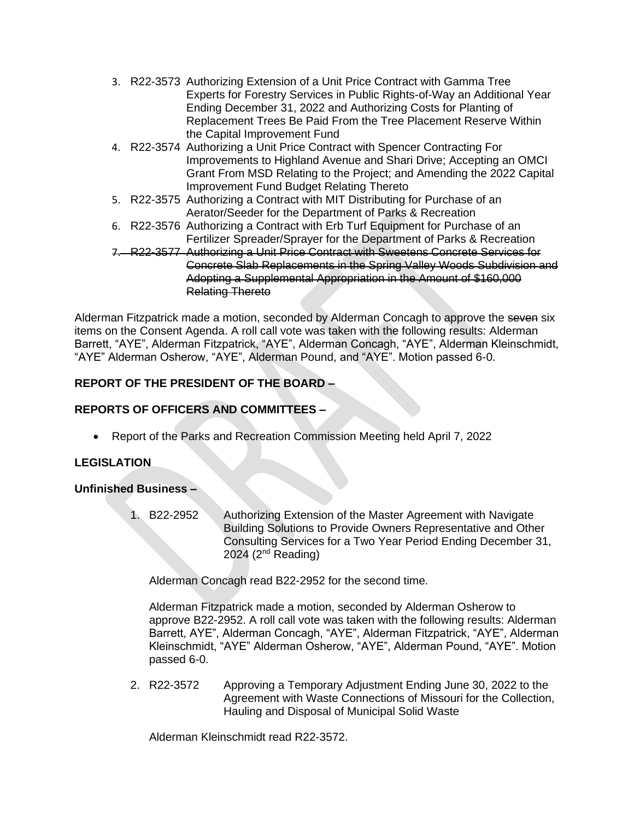- 3. R22-3573 Authorizing Extension of a Unit Price Contract with Gamma Tree Experts for Forestry Services in Public Rights-of-Way an Additional Year Ending December 31, 2022 and Authorizing Costs for Planting of Replacement Trees Be Paid From the Tree Placement Reserve Within the Capital Improvement Fund
- 4. R22-3574 Authorizing a Unit Price Contract with Spencer Contracting For Improvements to Highland Avenue and Shari Drive; Accepting an OMCI Grant From MSD Relating to the Project; and Amending the 2022 Capital Improvement Fund Budget Relating Thereto
- 5. R22-3575 Authorizing a Contract with MIT Distributing for Purchase of an Aerator/Seeder for the Department of Parks & Recreation
- 6. R22-3576 Authorizing a Contract with Erb Turf Equipment for Purchase of an Fertilizer Spreader/Sprayer for the Department of Parks & Recreation
- 7. R22-3577 Authorizing a Unit Price Contract with Sweetens Concrete Services for Concrete Slab Replacements in the Spring Valley Woods Subdivision and Adopting a Supplemental Appropriation in the Amount of \$160,000 Relating Thereto

Alderman Fitzpatrick made a motion, seconded by Alderman Concagh to approve the seven six items on the Consent Agenda. A roll call vote was taken with the following results: Alderman Barrett, "AYE", Alderman Fitzpatrick, "AYE", Alderman Concagh, "AYE", Alderman Kleinschmidt, "AYE" Alderman Osherow, "AYE", Alderman Pound, and "AYE". Motion passed 6-0.

# **REPORT OF THE PRESIDENT OF THE BOARD –**

# **REPORTS OF OFFICERS AND COMMITTEES –**

• Report of the Parks and Recreation Commission Meeting held April 7, 2022

# **LEGISLATION**

### **Unfinished Business –**

1. B22-2952 Authorizing Extension of the Master Agreement with Navigate Building Solutions to Provide Owners Representative and Other Consulting Services for a Two Year Period Ending December 31,  $2024$  ( $2<sup>nd</sup>$  Reading)

Alderman Concagh read B22-2952 for the second time.

Alderman Fitzpatrick made a motion, seconded by Alderman Osherow to approve B22-2952. A roll call vote was taken with the following results: Alderman Barrett, AYE", Alderman Concagh, "AYE", Alderman Fitzpatrick, "AYE", Alderman Kleinschmidt, "AYE" Alderman Osherow, "AYE", Alderman Pound, "AYE". Motion passed 6-0.

2. R22-3572 Approving a Temporary Adjustment Ending June 30, 2022 to the Agreement with Waste Connections of Missouri for the Collection, Hauling and Disposal of Municipal Solid Waste

Alderman Kleinschmidt read R22-3572.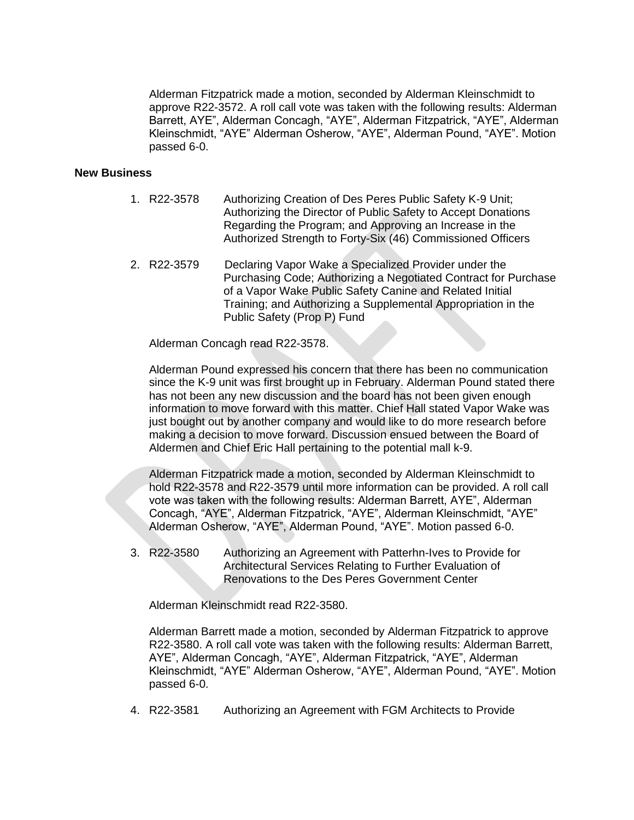Alderman Fitzpatrick made a motion, seconded by Alderman Kleinschmidt to approve R22-3572. A roll call vote was taken with the following results: Alderman Barrett, AYE", Alderman Concagh, "AYE", Alderman Fitzpatrick, "AYE", Alderman Kleinschmidt, "AYE" Alderman Osherow, "AYE", Alderman Pound, "AYE". Motion passed 6-0.

### **New Business**

- 1. R22-3578 Authorizing Creation of Des Peres Public Safety K-9 Unit; Authorizing the Director of Public Safety to Accept Donations Regarding the Program; and Approving an Increase in the Authorized Strength to Forty-Six (46) Commissioned Officers
- 2. R22-3579 Declaring Vapor Wake a Specialized Provider under the Purchasing Code; Authorizing a Negotiated Contract for Purchase of a Vapor Wake Public Safety Canine and Related Initial Training; and Authorizing a Supplemental Appropriation in the Public Safety (Prop P) Fund

Alderman Concagh read R22-3578.

Alderman Pound expressed his concern that there has been no communication since the K-9 unit was first brought up in February. Alderman Pound stated there has not been any new discussion and the board has not been given enough information to move forward with this matter. Chief Hall stated Vapor Wake was just bought out by another company and would like to do more research before making a decision to move forward. Discussion ensued between the Board of Aldermen and Chief Eric Hall pertaining to the potential mall k-9.

Alderman Fitzpatrick made a motion, seconded by Alderman Kleinschmidt to hold R22-3578 and R22-3579 until more information can be provided. A roll call vote was taken with the following results: Alderman Barrett, AYE", Alderman Concagh, "AYE", Alderman Fitzpatrick, "AYE", Alderman Kleinschmidt, "AYE" Alderman Osherow, "AYE", Alderman Pound, "AYE". Motion passed 6-0.

3. R22-3580 Authorizing an Agreement with Patterhn-Ives to Provide for Architectural Services Relating to Further Evaluation of Renovations to the Des Peres Government Center

Alderman Kleinschmidt read R22-3580.

Alderman Barrett made a motion, seconded by Alderman Fitzpatrick to approve R22-3580. A roll call vote was taken with the following results: Alderman Barrett, AYE", Alderman Concagh, "AYE", Alderman Fitzpatrick, "AYE", Alderman Kleinschmidt, "AYE" Alderman Osherow, "AYE", Alderman Pound, "AYE". Motion passed 6-0.

4. R22-3581 Authorizing an Agreement with FGM Architects to Provide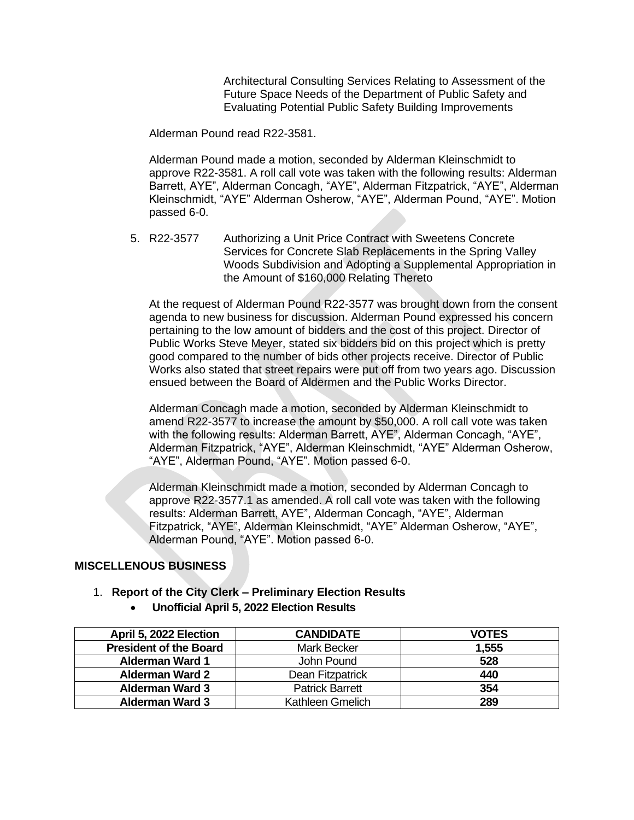Architectural Consulting Services Relating to Assessment of the Future Space Needs of the Department of Public Safety and Evaluating Potential Public Safety Building Improvements

Alderman Pound read R22-3581.

Alderman Pound made a motion, seconded by Alderman Kleinschmidt to approve R22-3581. A roll call vote was taken with the following results: Alderman Barrett, AYE", Alderman Concagh, "AYE", Alderman Fitzpatrick, "AYE", Alderman Kleinschmidt, "AYE" Alderman Osherow, "AYE", Alderman Pound, "AYE". Motion passed 6-0.

5. R22-3577 Authorizing a Unit Price Contract with Sweetens Concrete Services for Concrete Slab Replacements in the Spring Valley Woods Subdivision and Adopting a Supplemental Appropriation in the Amount of \$160,000 Relating Thereto

At the request of Alderman Pound R22-3577 was brought down from the consent agenda to new business for discussion. Alderman Pound expressed his concern pertaining to the low amount of bidders and the cost of this project. Director of Public Works Steve Meyer, stated six bidders bid on this project which is pretty good compared to the number of bids other projects receive. Director of Public Works also stated that street repairs were put off from two years ago. Discussion ensued between the Board of Aldermen and the Public Works Director.

Alderman Concagh made a motion, seconded by Alderman Kleinschmidt to amend R22-3577 to increase the amount by \$50,000. A roll call vote was taken with the following results: Alderman Barrett, AYE", Alderman Concagh, "AYE", Alderman Fitzpatrick, "AYE", Alderman Kleinschmidt, "AYE" Alderman Osherow, "AYE", Alderman Pound, "AYE". Motion passed 6-0.

Alderman Kleinschmidt made a motion, seconded by Alderman Concagh to approve R22-3577.1 as amended. A roll call vote was taken with the following results: Alderman Barrett, AYE", Alderman Concagh, "AYE", Alderman Fitzpatrick, "AYE", Alderman Kleinschmidt, "AYE" Alderman Osherow, "AYE", Alderman Pound, "AYE". Motion passed 6-0.

### **MISCELLENOUS BUSINESS**

### 1. **Report of the City Clerk – Preliminary Election Results**

• **Unofficial April 5, 2022 Election Results**

| April 5, 2022 Election        | <b>CANDIDATE</b>       | <b>VOTES</b> |
|-------------------------------|------------------------|--------------|
| <b>President of the Board</b> | Mark Becker            | 1,555        |
| <b>Alderman Ward 1</b>        | John Pound             | 528          |
| <b>Alderman Ward 2</b>        | Dean Fitzpatrick       | 440          |
| <b>Alderman Ward 3</b>        | <b>Patrick Barrett</b> | 354          |
| <b>Alderman Ward 3</b>        | Kathleen Gmelich       | 289          |